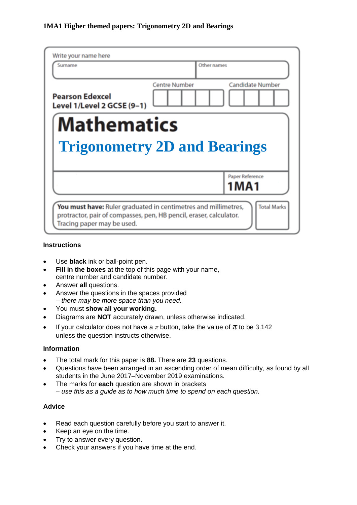| Surname                                              | Other names          |                                |
|------------------------------------------------------|----------------------|--------------------------------|
| <b>Pearson Edexcel</b><br>Level 1/Level 2 GCSE (9-1) | <b>Centre Number</b> | <b>Candidate Number</b>        |
| <b>Mathematics</b>                                   |                      |                                |
| <b>Trigonometry 2D and Bearings</b>                  |                      |                                |
|                                                      |                      | Paper Reference<br><b>1MA1</b> |

#### **Instructions**

- Use **black** ink or ball-point pen.
- **Fill in the boxes** at the top of this page with your name, centre number and candidate number.
- Answer **all** questions.
- Answer the questions in the spaces provided *– there may be more space than you need.*
- You must **show all your working.**
- Diagrams are **NOT** accurately drawn, unless otherwise indicated.
- If your calculator does not have a  $\pi$  button, take the value of  $\pi$  to be 3.142 unless the question instructs otherwise.

#### **Information**

- The total mark for this paper is **88.** There are **23** questions.
- Questions have been arranged in an ascending order of mean difficulty, as found by all students in the June 2017–November 2019 examinations.
- The marks for **each** question are shown in brackets *– use this as a guide as to how much time to spend on each question.*

#### **Advice**

- Read each question carefully before you start to answer it.
- Keep an eye on the time.
- Try to answer every question.
- Check your answers if you have time at the end.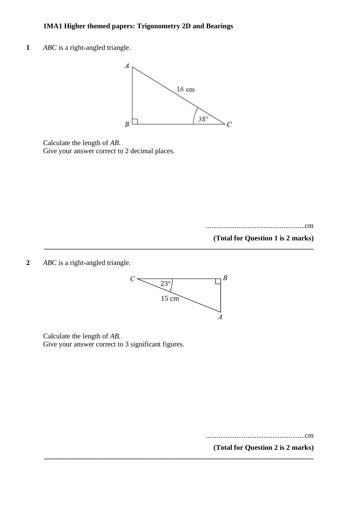**1** *ABC* is a right-angled triangle.



Calculate the length of *AB*. Give your answer correct to 2 decimal places.

.......................................................cm

**(Total for Question 1 is 2 marks)**

**2** *ABC* is a right-angled triangle. **7** *ABC* is a right-angled triangle.



**\_\_\_\_\_\_\_\_\_\_\_\_\_\_\_\_\_\_\_\_\_\_\_\_\_\_\_\_\_\_\_\_\_\_\_\_\_\_\_\_\_\_\_\_\_\_\_\_\_\_\_\_\_\_\_\_\_\_\_\_\_\_\_\_\_\_\_\_\_\_\_\_\_\_\_**

**\_\_\_\_\_\_\_\_\_\_\_\_\_\_\_\_\_\_\_\_\_\_\_\_\_\_\_\_\_\_\_\_\_\_\_\_\_\_\_\_\_\_\_\_\_\_\_\_\_\_\_\_\_\_\_\_\_\_\_\_\_\_\_\_\_\_\_\_\_\_\_\_\_\_\_**

Calculate the length of *AB*. Calculate the length of *AB*. Give your answer correct to 3 significant figures. Give your answer correct to 3 significant figures.

.......................................................cm .......................................................cm

**(Total for Question 2 is 2 marks) (Total for Question 7 is 2 marks)**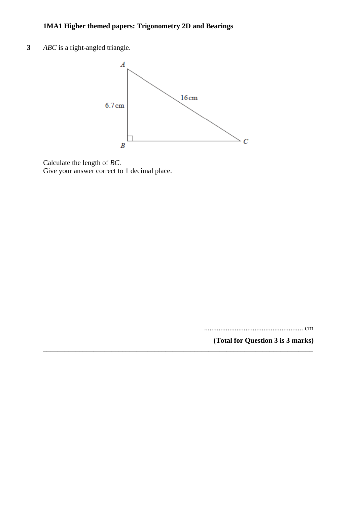**3** *ABC* is a right-angled triangle.



**\_\_\_\_\_\_\_\_\_\_\_\_\_\_\_\_\_\_\_\_\_\_\_\_\_\_\_\_\_\_\_\_\_\_\_\_\_\_\_\_\_\_\_\_\_\_\_\_\_\_\_\_\_\_\_\_\_\_\_\_\_\_\_\_\_\_\_\_\_\_\_\_\_\_\_**

Calculate the length of *BC*. Give your answer correct to 1 decimal place.

....................................................... cm

**(Total for Question 3 is 3 marks)**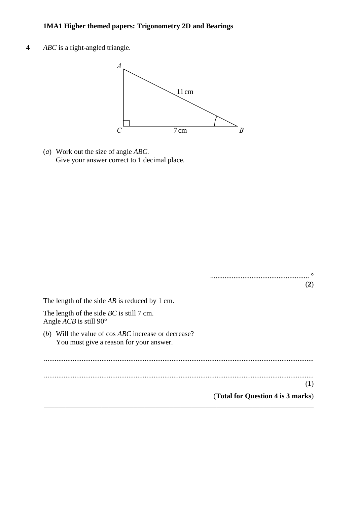**4** *ABC* is a right-angled triangle. **5** *ABC* is <sup>a</sup> right-angled triangle.



(*a*) Work out the size of angle *ABC*. (a) Work out the size of angle *ABC*. Give your answer correct to 1 decimal place. Give your answer correct to 1 decimal place.

|                                                                                                                   | $\circ$                           |  |
|-------------------------------------------------------------------------------------------------------------------|-----------------------------------|--|
|                                                                                                                   | (2)                               |  |
| The length of the side $AB$ is reduced by 1 cm.                                                                   |                                   |  |
| The length of the side $BC$ is still 7 cm.<br>Angle <i>ACB</i> is still 90 $^{\circ}$                             |                                   |  |
| Will the value of cos <i>ABC</i> increase or decrease?<br>( <i>b</i> )<br>You must give a reason for your answer. |                                   |  |
|                                                                                                                   |                                   |  |
|                                                                                                                   |                                   |  |
|                                                                                                                   | $\bf(1)$                          |  |
|                                                                                                                   | (Total for Question 4 is 3 marks) |  |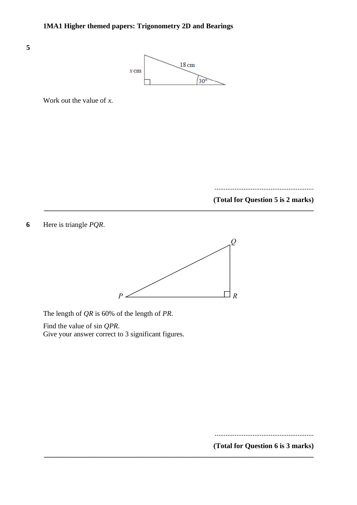

Work out the value of *x*.

**5**

....................................................... **(Total for Question 5 is 2 marks)** 

**6** Here is triangle *PQR*. **12** Here is triangle *PQR*.



**\_\_\_\_\_\_\_\_\_\_\_\_\_\_\_\_\_\_\_\_\_\_\_\_\_\_\_\_\_\_\_\_\_\_\_\_\_\_\_\_\_\_\_\_\_\_\_\_\_\_\_\_\_\_\_\_\_\_\_\_\_\_\_\_\_\_\_\_\_\_\_\_\_\_\_**

**\_\_\_\_\_\_\_\_\_\_\_\_\_\_\_\_\_\_\_\_\_\_\_\_\_\_\_\_\_\_\_\_\_\_\_\_\_\_\_\_\_\_\_\_\_\_\_\_\_\_\_\_\_\_\_\_\_\_\_\_\_\_\_\_\_\_\_\_\_\_\_\_\_\_\_**

The length of *QR* is 60% of the length of *PR*. The length of *QR* is 60% of the length of *PR*.

Find the value of sin *QPR*. Find the value of sin *QPR*. Give your answer correct to 3 significant figures. Give your answer correct to 3 significant figures.

....................................................... **(Total for Question 12 is 3 marks)**

**(Total for Question 6 is 3 marks)**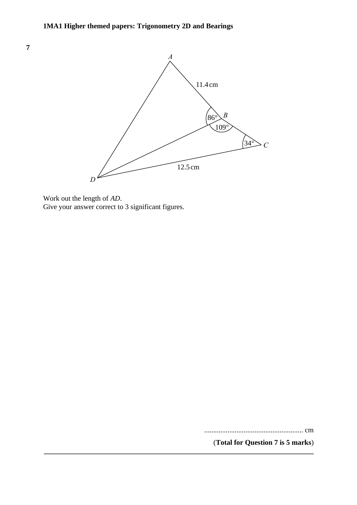

**\_\_\_\_\_\_\_\_\_\_\_\_\_\_\_\_\_\_\_\_\_\_\_\_\_\_\_\_\_\_\_\_\_\_\_\_\_\_\_\_\_\_\_\_\_\_\_\_\_\_\_\_\_\_\_\_\_\_\_\_\_\_\_\_\_\_\_\_\_\_\_\_\_\_\_**

Work out the length of *AD*. Work out the length of *AD*. Give your answer correct to 3 significant figures. Give your answer correct to 3 significant figures.

....................................................... cm

(**Total for Question 7 is 5 marks**)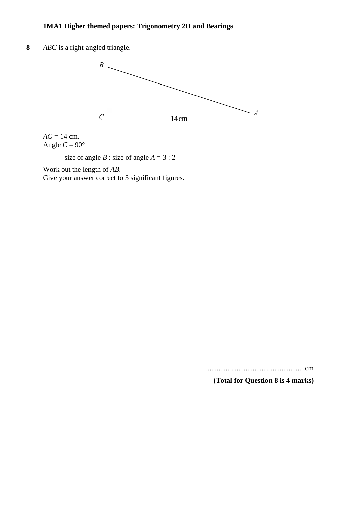**8** *ABC* is a right-angled triangle. **6** *ABC* is <sup>a</sup> right-angled triangle.



**\_\_\_\_\_\_\_\_\_\_\_\_\_\_\_\_\_\_\_\_\_\_\_\_\_\_\_\_\_\_\_\_\_\_\_\_\_\_\_\_\_\_\_\_\_\_\_\_\_\_\_\_\_\_\_\_\_\_\_\_\_\_\_\_\_\_\_\_\_\_\_\_\_\_**

 $AC = 14$  cm. Angle  $C = 90^\circ$ 

size of angle *B* : size of angle  $A = 3:2$ 

Work out the length of *AB*. Work out the length of *AB*.

Give your answer correct to 3 significant figures. Give your answer correct to 3 significant figures.

.......................................................cm

**(Total for Question 8 is 4 marks)** .......................................................cm

**(Total for Question 6 is 4 marks)**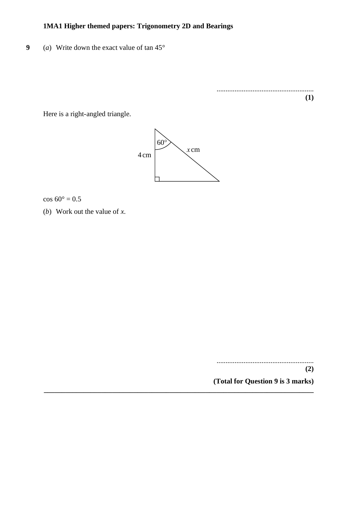**9** (*a*) Write down the exact value of tan 45°

...................................................... **(1)**

Here is a right-angled triangle. Here is <sup>a</sup> right-angled triangle.



**\_\_\_\_\_\_\_\_\_\_\_\_\_\_\_\_\_\_\_\_\_\_\_\_\_\_\_\_\_\_\_\_\_\_\_\_\_\_\_\_\_\_\_\_\_\_\_\_\_\_\_\_\_\_\_\_\_\_\_\_\_\_\_\_\_\_\_\_\_\_\_\_\_\_\_**

 $\cos 60^\circ = 0.5$ 

(*b*) Work out the value of *x*. (b) Work out the value of *<sup>x</sup>*.

...................................................... **(2) (Total for Question 9 is 3 marks)**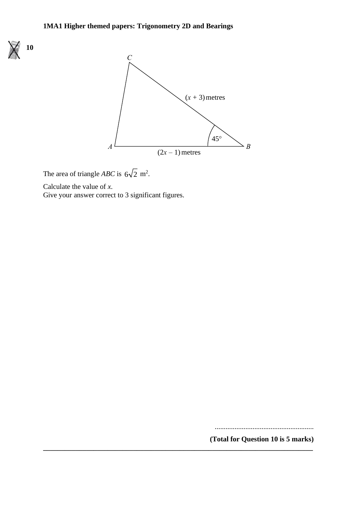

The area of triangle *ABC* is  $6\sqrt{2}$  m<sup>2</sup>.

Calculate the value of *x*. Calculate the value of *<sup>x</sup>*.

Give your answer correct to 3 significant figures. Give your answer correct to 3 significant figures.

.......................................................

**(Total for Question 10 is 5 marks) \_\_\_\_\_\_\_\_\_\_\_\_\_\_\_\_\_\_\_\_\_\_\_\_\_\_\_\_\_\_\_\_\_\_\_\_\_\_\_\_\_\_\_\_\_\_\_\_\_\_\_\_\_\_\_\_\_\_\_\_\_\_\_\_\_\_\_\_\_\_\_\_\_\_\_**

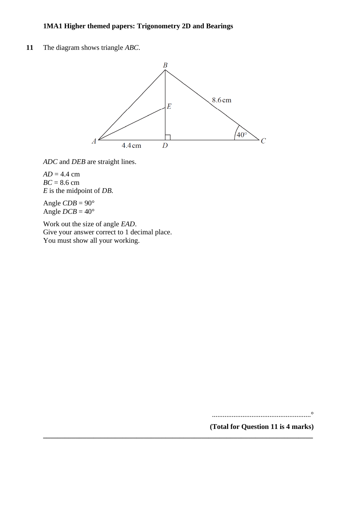**11** The diagram shows triangle *ABC*.



**\_\_\_\_\_\_\_\_\_\_\_\_\_\_\_\_\_\_\_\_\_\_\_\_\_\_\_\_\_\_\_\_\_\_\_\_\_\_\_\_\_\_\_\_\_\_\_\_\_\_\_\_\_\_\_\_\_\_\_\_\_\_\_\_\_\_\_\_\_\_\_\_\_\_\_**

*ADC* and *DEB* are straight lines.

 $AD = 4.4$  cm *BC* = 8.6 cm *E* is the midpoint of *DB*.

Angle  $CDB = 90^\circ$ Angle  $DCB = 40^{\circ}$ 

Work out the size of angle *EAD*. Give your answer correct to 1 decimal place. You must show all your working.

.......................................................°

**(Total for Question 11 is 4 marks)**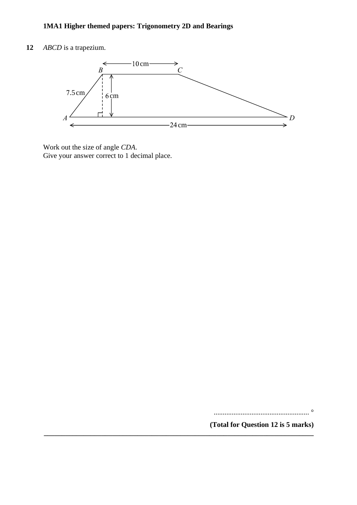**12** *ABCD* is a trapezium.



Work out the size of angle *CDA*. Give your answer correct to 1 decimal place.

..................................................... °

**(Total for Question 12 is 5 marks) \_\_\_\_\_\_\_\_\_\_\_\_\_\_\_\_\_\_\_\_\_\_\_\_\_\_\_\_\_\_\_\_\_\_\_\_\_\_\_\_\_\_\_\_\_\_\_\_\_\_\_\_\_\_\_\_\_\_\_\_\_\_\_\_\_\_\_\_\_\_\_\_\_\_\_**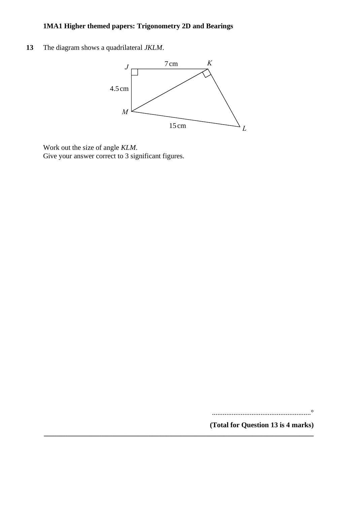**13** The diagram shows a quadrilateral *JKLM*. **6** The diagram shows <sup>a</sup> quadrilateral *JKLM*.



**\_\_\_\_\_\_\_\_\_\_\_\_\_\_\_\_\_\_\_\_\_\_\_\_\_\_\_\_\_\_\_\_\_\_\_\_\_\_\_\_\_\_\_\_\_\_\_\_\_\_\_\_\_\_\_\_\_\_\_\_\_\_\_\_\_\_\_\_\_\_\_\_\_\_\_**

Work out the size of angle *KLM*. Work out the size of angle *KLM*. Give your answer correct to 3 significant figures. Give your answer correct to 3 significant figures.

.......................................................°

**(Total for Question 13 is 4 marks)**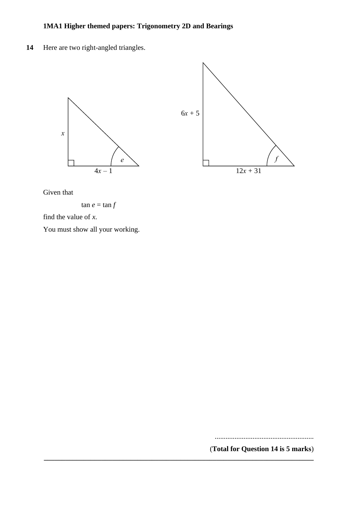14 Here are two right-angled triangles. **19** Here are two right-angled triangles.



**\_\_\_\_\_\_\_\_\_\_\_\_\_\_\_\_\_\_\_\_\_\_\_\_\_\_\_\_\_\_\_\_\_\_\_\_\_\_\_\_\_\_\_\_\_\_\_\_\_\_\_\_\_\_\_\_\_\_\_\_\_\_\_\_\_\_\_\_\_\_\_\_\_\_\_**

Given that Given that

 $\tan e = \tan f$ 

find the value of *x*. find the value of *<sup>x</sup>*.

You must show all your working. You must show all your working.

.......................................................

(**Total for Question 14 is 5 marks**)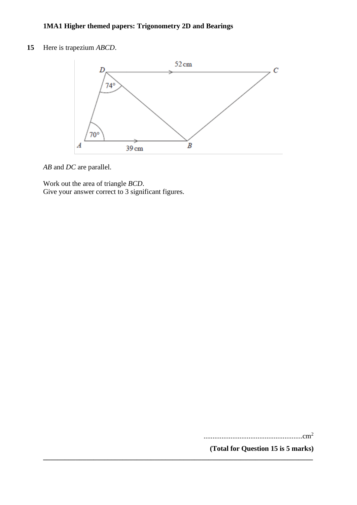**15** Here is trapezium *ABCD*.



**\_\_\_\_\_\_\_\_\_\_\_\_\_\_\_\_\_\_\_\_\_\_\_\_\_\_\_\_\_\_\_\_\_\_\_\_\_\_\_\_\_\_\_\_\_\_\_\_\_\_\_\_\_\_\_\_\_\_\_\_\_\_\_\_\_\_\_\_\_\_\_\_\_\_\_**

*AB* and *DC* are parallel.

Work out the area of triangle *BCD*. Give your answer correct to 3 significant figures.

.......................................................cm<sup>2</sup>

**(Total for Question 15 is 5 marks)**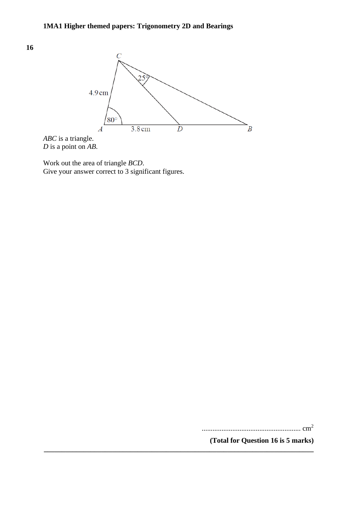

**\_\_\_\_\_\_\_\_\_\_\_\_\_\_\_\_\_\_\_\_\_\_\_\_\_\_\_\_\_\_\_\_\_\_\_\_\_\_\_\_\_\_\_\_\_\_\_\_\_\_\_\_\_\_\_\_\_\_\_\_\_\_\_\_\_\_\_\_\_\_\_\_\_\_\_**

*ABC* is a triangle. *D* is a point on *AB*.

**16**

Work out the area of triangle *BCD*. Give your answer correct to 3 significant figures.

....................................................... cm<sup>2</sup>

**(Total for Question 16 is 5 marks)**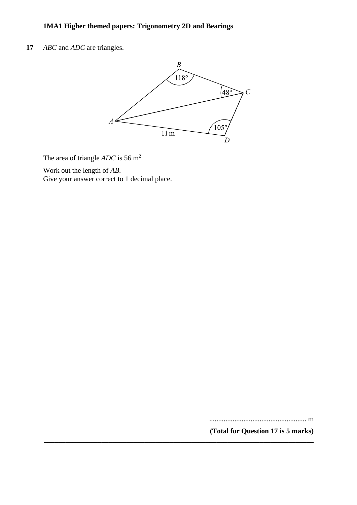**17** *ABC* and *ADC* are triangles. **17** *ABC ADC*



**\_\_\_\_\_\_\_\_\_\_\_\_\_\_\_\_\_\_\_\_\_\_\_\_\_\_\_\_\_\_\_\_\_\_\_\_\_\_\_\_\_\_\_\_\_\_\_\_\_\_\_\_\_\_\_\_\_\_\_\_\_\_\_\_\_\_\_\_\_\_\_\_\_\_\_**

The area of triangle  $ADC$  is 56 m<sup>2</sup>

Work out the length of *AB*. *AB*

Give your answer correct to 1 decimal place.

...................................................... m

**(Total for Question 17 is 5 marks)**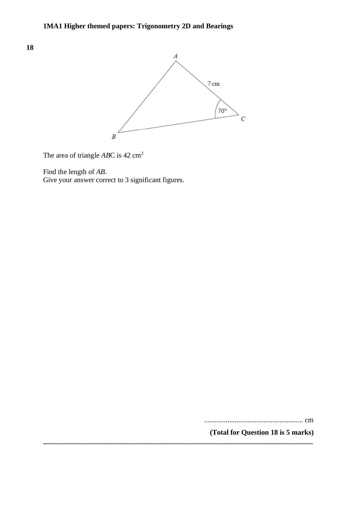

**\_\_\_\_\_\_\_\_\_\_\_\_\_\_\_\_\_\_\_\_\_\_\_\_\_\_\_\_\_\_\_\_\_\_\_\_\_\_\_\_\_\_\_\_\_\_\_\_\_\_\_\_\_\_\_\_\_\_\_\_\_\_\_\_\_\_\_\_\_\_\_\_\_\_\_**

The area of triangle *AB*C is 42 cm<sup>2</sup>

Find the length of *AB*.

Give your answer correct to 3 significant figures.

....................................................... cm

**(Total for Question 18 is 5 marks)**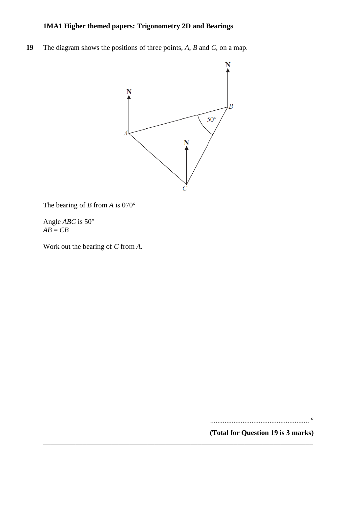**19** The diagram shows the positions of three points, *A*, *B* and *C*, on a map.



**\_\_\_\_\_\_\_\_\_\_\_\_\_\_\_\_\_\_\_\_\_\_\_\_\_\_\_\_\_\_\_\_\_\_\_\_\_\_\_\_\_\_\_\_\_\_\_\_\_\_\_\_\_\_\_\_\_\_\_\_\_\_\_\_\_\_\_\_\_\_\_\_\_\_\_**

The bearing of *B* from *A* is 070°

Angle *ABC* is 50°  $AB = CB$ 

Work out the bearing of *C* from *A*.

....................................................... °

**(Total for Question 19 is 3 marks)**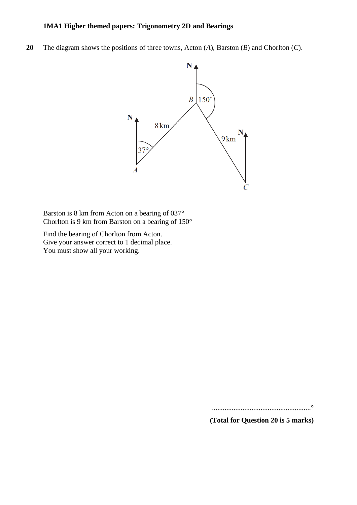**20** The diagram shows the positions of three towns, Acton (*A*), Barston (*B*) and Chorlton (*C*).



Barston is 8 km from Acton on a bearing of 037° Chorlton is 9 km from Barston on a bearing of 150°

Find the bearing of Chorlton from Acton. Give your answer correct to 1 decimal place. You must show all your working.

.......................................................°

**(Total for Question 20 is 5 marks)**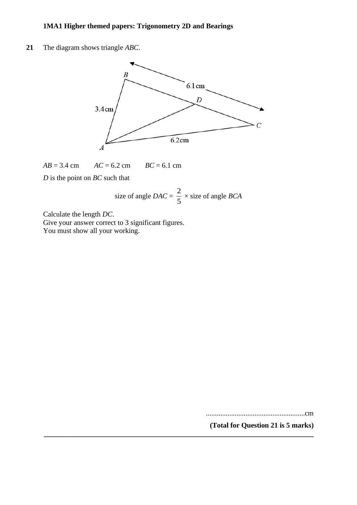**21** The diagram shows triangle *ABC*.



 $AB = 3.4$  cm  $AC = 6.2$  cm  $BC = 6.1$  cm

*D* is the point on *BC* such that

size of angle 
$$
DAC = \frac{2}{5} \times \text{size of angle } BCA
$$

**\_\_\_\_\_\_\_\_\_\_\_\_\_\_\_\_\_\_\_\_\_\_\_\_\_\_\_\_\_\_\_\_\_\_\_\_\_\_\_\_\_\_\_\_\_\_\_\_\_\_\_\_\_\_\_\_\_\_\_\_\_\_\_\_\_\_\_\_\_\_\_\_\_\_\_**

Calculate the length *DC*.

Give your answer correct to 3 significant figures. You must show all your working.

.......................................................cm

**(Total for Question 21 is 5 marks)**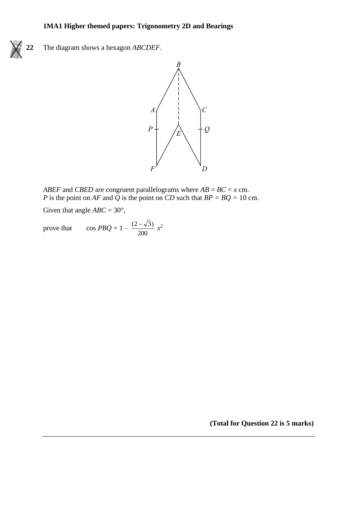

**22** The diagram shows a hexagon *ABCDEF*. **22** The diagram shows <sup>a</sup> hexagon *ABCDEF*.



*ABEF* and *CBED* are congruent parallelograms where  $AB = BC = x$  cm. P is the point on AF and Q is the point on CD such that  $BP = BQ = 10$  cm.

Given that angle *ABC* = 30°, Given that angle *ABC* <sup>=</sup> 30°,

prove that cos  $PBQ = 1 - \frac{(2-\sqrt{2})}{200}$  $\cos PBQ = 1 - \frac{(2-\sqrt{3})}{200}x^2$ prove that  $\overline{ }$ 

**(Total for Question 22 is 5 marks)**